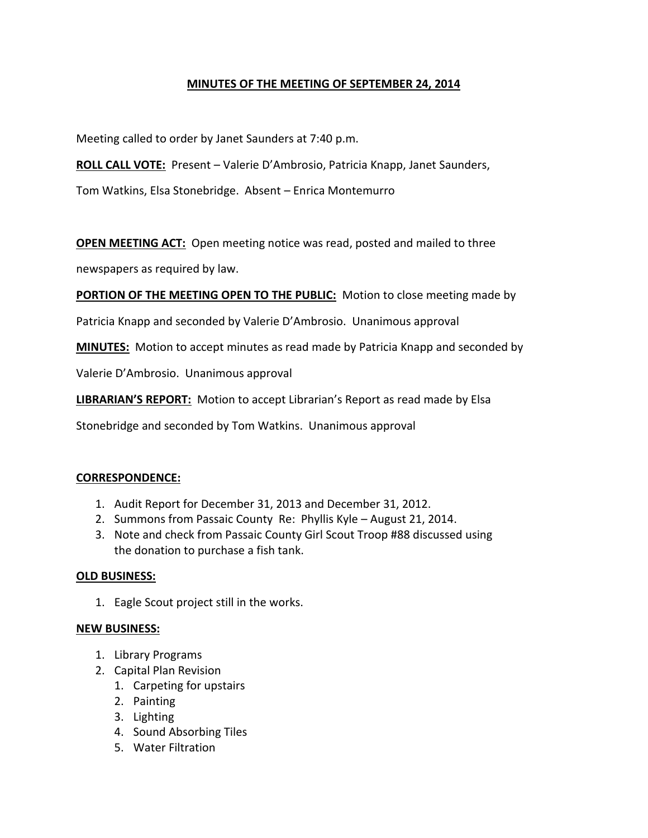# **MINUTES OF THE MEETING OF SEPTEMBER 24, 2014**

Meeting called to order by Janet Saunders at 7:40 p.m.

**ROLL CALL VOTE:** Present – Valerie D'Ambrosio, Patricia Knapp, Janet Saunders,

Tom Watkins, Elsa Stonebridge. Absent – Enrica Montemurro

**OPEN MEETING ACT:** Open meeting notice was read, posted and mailed to three

newspapers as required by law.

**PORTION OF THE MEETING OPEN TO THE PUBLIC:** Motion to close meeting made by

Patricia Knapp and seconded by Valerie D'Ambrosio. Unanimous approval

**MINUTES:** Motion to accept minutes as read made by Patricia Knapp and seconded by

Valerie D'Ambrosio. Unanimous approval

**LIBRARIAN'S REPORT:** Motion to accept Librarian's Report as read made by Elsa

Stonebridge and seconded by Tom Watkins. Unanimous approval

### **CORRESPONDENCE:**

- 1. Audit Report for December 31, 2013 and December 31, 2012.
- 2. Summons from Passaic County Re: Phyllis Kyle August 21, 2014.
- 3. Note and check from Passaic County Girl Scout Troop #88 discussed using the donation to purchase a fish tank.

### **OLD BUSINESS:**

1. Eagle Scout project still in the works.

### **NEW BUSINESS:**

- 1. Library Programs
- 2. Capital Plan Revision
	- 1. Carpeting for upstairs
	- 2. Painting
	- 3. Lighting
	- 4. Sound Absorbing Tiles
	- 5. Water Filtration